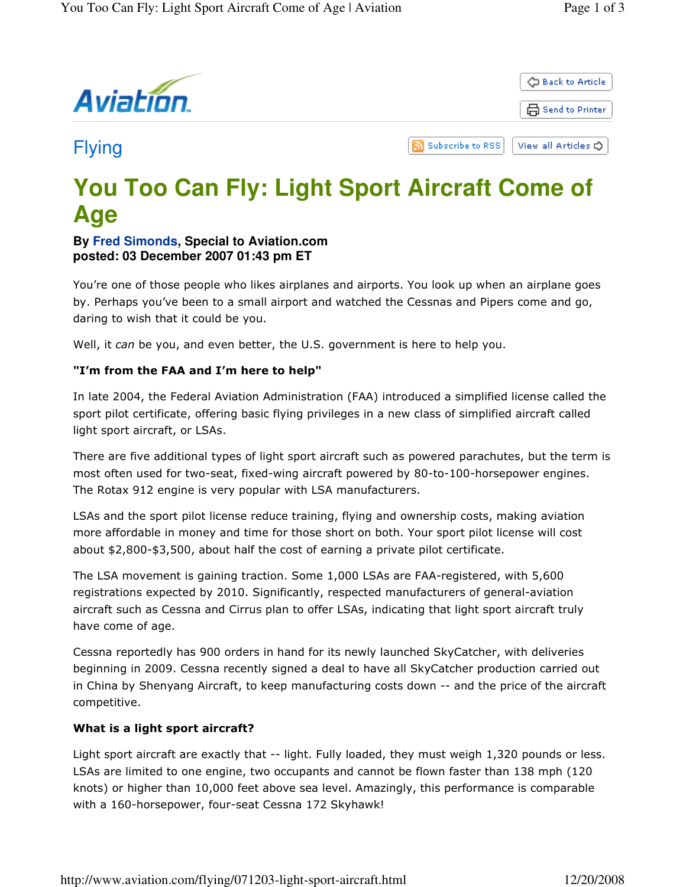

# **You Too Can Fly: Light Sport Aircraft Come of Age**

## **By Fred Simonds, Special to Aviation.com posted: 03 December 2007 01:43 pm ET**

You're one of those people who likes airplanes and airports. You look up when an airplane goes by. Perhaps you've been to a small airport and watched the Cessnas and Pipers come and go, daring to wish that it could be you.

Well, it can be you, and even better, the U.S. government is here to help you.

### "I'm from the FAA and I'm here to help"

In late 2004, the Federal Aviation Administration (FAA) introduced a simplified license called the sport pilot certificate, offering basic flying privileges in a new class of simplified aircraft called light sport aircraft, or LSAs.

There are five additional types of light sport aircraft such as powered parachutes, but the term is most often used for two-seat, fixed-wing aircraft powered by 80-to-100-horsepower engines. The Rotax 912 engine is very popular with LSA manufacturers.

LSAs and the sport pilot license reduce training, flying and ownership costs, making aviation more affordable in money and time for those short on both. Your sport pilot license will cost about \$2,800-\$3,500, about half the cost of earning a private pilot certificate.

The LSA movement is gaining traction. Some 1,000 LSAs are FAA-registered, with 5,600 registrations expected by 2010. Significantly, respected manufacturers of general-aviation aircraft such as Cessna and Cirrus plan to offer LSAs, indicating that light sport aircraft truly have come of age.

Cessna reportedly has 900 orders in hand for its newly launched SkyCatcher, with deliveries beginning in 2009. Cessna recently signed a deal to have all SkyCatcher production carried out in China by Shenyang Aircraft, to keep manufacturing costs down -- and the price of the aircraft competitive.

#### What is a light sport aircraft?

Light sport aircraft are exactly that -- light. Fully loaded, they must weigh 1,320 pounds or less. LSAs are limited to one engine, two occupants and cannot be flown faster than 138 mph (120 knots) or higher than 10,000 feet above sea level. Amazingly, this performance is comparable with a 160-horsepower, four-seat Cessna 172 Skyhawk!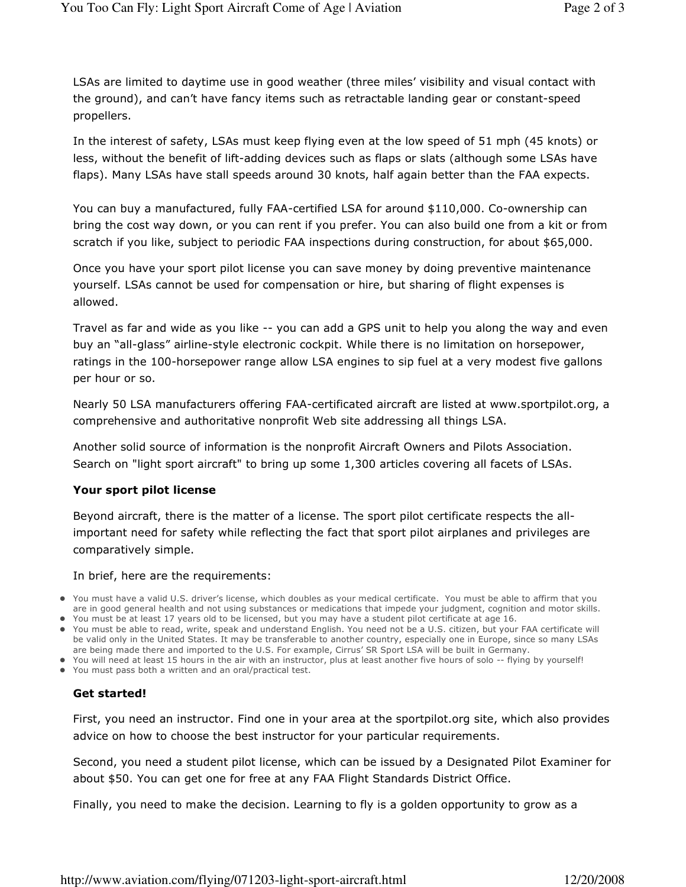LSAs are limited to daytime use in good weather (three miles' visibility and visual contact with the ground), and can't have fancy items such as retractable landing gear or constant-speed propellers.

In the interest of safety, LSAs must keep flying even at the low speed of 51 mph (45 knots) or less, without the benefit of lift-adding devices such as flaps or slats (although some LSAs have flaps). Many LSAs have stall speeds around 30 knots, half again better than the FAA expects.

You can buy a manufactured, fully FAA-certified LSA for around \$110,000. Co-ownership can bring the cost way down, or you can rent if you prefer. You can also build one from a kit or from scratch if you like, subject to periodic FAA inspections during construction, for about \$65,000.

Once you have your sport pilot license you can save money by doing preventive maintenance yourself. LSAs cannot be used for compensation or hire, but sharing of flight expenses is allowed.

Travel as far and wide as you like -- you can add a GPS unit to help you along the way and even buy an "all-glass" airline-style electronic cockpit. While there is no limitation on horsepower, ratings in the 100-horsepower range allow LSA engines to sip fuel at a very modest five gallons per hour or so.

Nearly 50 LSA manufacturers offering FAA-certificated aircraft are listed at www.sportpilot.org, a comprehensive and authoritative nonprofit Web site addressing all things LSA.

Another solid source of information is the nonprofit Aircraft Owners and Pilots Association. Search on "light sport aircraft" to bring up some 1,300 articles covering all facets of LSAs.

#### Your sport pilot license

Beyond aircraft, there is the matter of a license. The sport pilot certificate respects the allimportant need for safety while reflecting the fact that sport pilot airplanes and privileges are comparatively simple.

#### In brief, here are the requirements:

- You must have a valid U.S. driver's license, which doubles as your medical certificate. You must be able to affirm that you are in good general health and not using substances or medications that impede your judgment, cognition and motor skills.
- You must be at least 17 years old to be licensed, but you may have a student pilot certificate at age 16.
- You must be able to read, write, speak and understand English. You need not be a U.S. citizen, but your FAA certificate will be valid only in the United States. It may be transferable to another country, especially one in Europe, since so many LSAs are being made there and imported to the U.S. For example, Cirrus' SR Sport LSA will be built in Germany.
- You will need at least 15 hours in the air with an instructor, plus at least another five hours of solo -- flying by yourself!
- You must pass both a written and an oral/practical test.

#### Get started!

First, you need an instructor. Find one in your area at the sportpilot.org site, which also provides advice on how to choose the best instructor for your particular requirements.

Second, you need a student pilot license, which can be issued by a Designated Pilot Examiner for about \$50. You can get one for free at any FAA Flight Standards District Office.

Finally, you need to make the decision. Learning to fly is a golden opportunity to grow as a